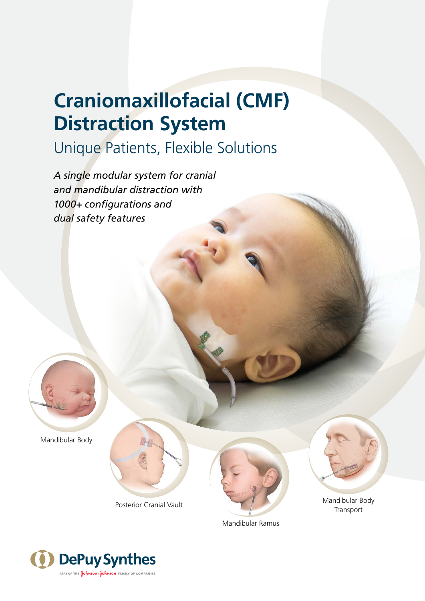# **Craniomaxillofacial (CMF) Distraction System**

## Unique Patients, Flexible Solutions

*A single modular system for cranial and mandibular distraction with 1000+ configurations and dual safety features*



Mandibular Body







Mandibular Body Transport

Mandibular Ramus